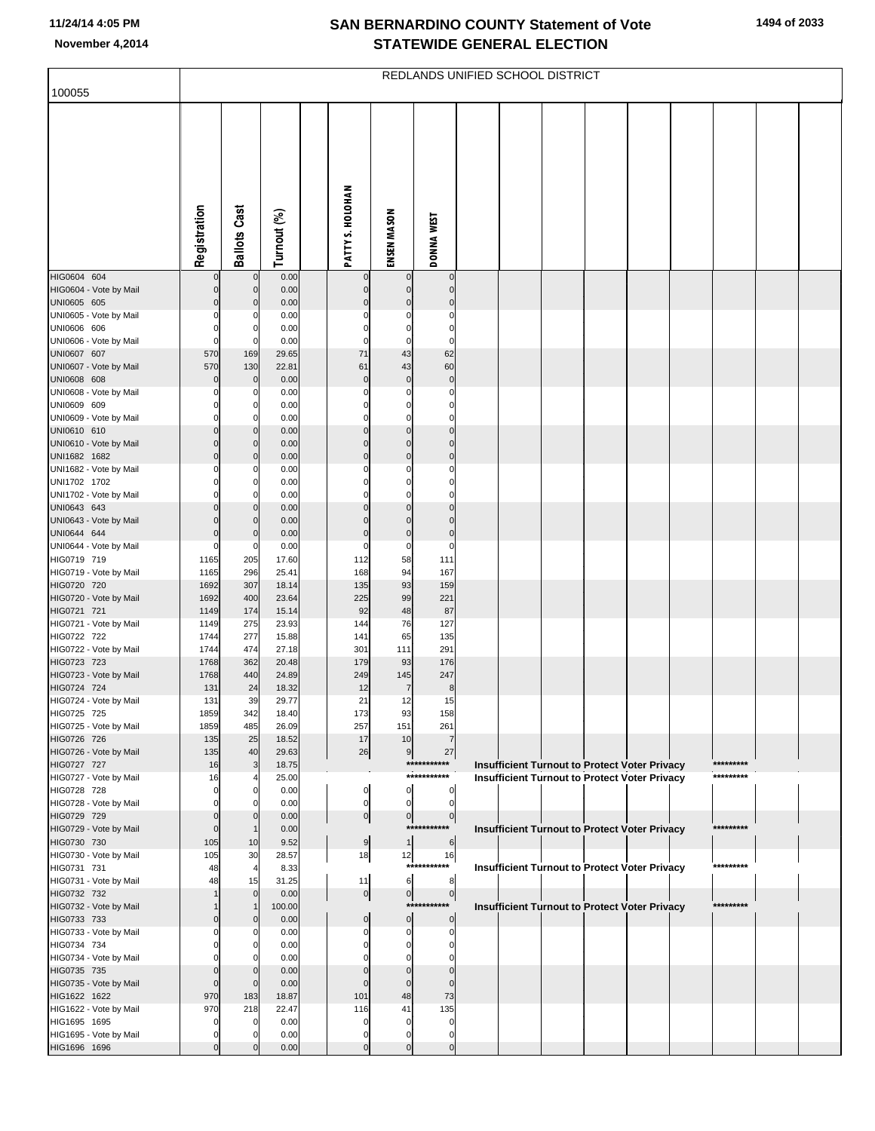| 100055                                 |              | REDLANDS UNIFIED SCHOOL DISTRICT |                |  |                                |                                  |                               |  |                                                                                                       |  |  |  |  |           |  |
|----------------------------------------|--------------|----------------------------------|----------------|--|--------------------------------|----------------------------------|-------------------------------|--|-------------------------------------------------------------------------------------------------------|--|--|--|--|-----------|--|
|                                        |              |                                  |                |  |                                |                                  |                               |  |                                                                                                       |  |  |  |  |           |  |
|                                        |              |                                  |                |  |                                |                                  |                               |  |                                                                                                       |  |  |  |  |           |  |
|                                        | Registration | <b>Ballots Cast</b>              | Turnout (%)    |  | PATTY S. HOLOHAN               | ENSEN MASON                      | <b>DONNA WEST</b>             |  |                                                                                                       |  |  |  |  |           |  |
| HIG0604 604                            |              | $\mathbf 0$                      | 0.00           |  | 0                              | 0                                | $\overline{0}$                |  |                                                                                                       |  |  |  |  |           |  |
| HIG0604 - Vote by Mail<br>UNI0605 605  | 0<br>0       | $\mathbf 0$<br>$\mathbf 0$       | 0.00<br>0.00   |  | $\mathbf 0$<br>$\Omega$        | $\mathbf 0$<br>$\overline{0}$    | $\mathbf 0$<br>$\overline{0}$ |  |                                                                                                       |  |  |  |  |           |  |
| UNI0605 - Vote by Mail                 |              | 0                                | 0.00           |  | 0                              | $\Omega$                         | $\Omega$                      |  |                                                                                                       |  |  |  |  |           |  |
| UNI0606 606                            |              | $\Omega$<br>$\Omega$             | 0.00           |  | $\Omega$<br>$\Omega$           | $\mathbf 0$<br>$\mathbf 0$       | $\mathbf 0$<br>$\mathbf 0$    |  |                                                                                                       |  |  |  |  |           |  |
| UNI0606 - Vote by Mail<br>UNI0607 607  | 570          | 169                              | 0.00<br>29.65  |  | 71                             | 43                               | 62                            |  |                                                                                                       |  |  |  |  |           |  |
| UNI0607 - Vote by Mail                 | 570          | 130                              | 22.81          |  | 61                             | 43                               | 60                            |  |                                                                                                       |  |  |  |  |           |  |
| UNI0608 608<br>UNI0608 - Vote by Mail  |              | $\bf 0$<br>$\Omega$              | 0.00<br>0.00   |  | $\mathbf 0$<br>0               | $\overline{0}$<br>0              | $\mathbf 0$<br>$\Omega$       |  |                                                                                                       |  |  |  |  |           |  |
| UNI0609 609                            |              | 0                                | 0.00           |  | 0                              | 0                                | 0                             |  |                                                                                                       |  |  |  |  |           |  |
| UNI0609 - Vote by Mail                 |              | $\Omega$                         | 0.00           |  | $\Omega$                       | $\mathbf 0$                      | $\mathbf 0$                   |  |                                                                                                       |  |  |  |  |           |  |
| UNI0610 610<br>UNI0610 - Vote by Mail  | 0<br>በ       | $\mathbf 0$<br>$\mathbf 0$       | 0.00<br>0.00   |  | $\Omega$<br>$\Omega$           | $\mathbf{0}$<br>$\Omega$         | $\Omega$<br>$\Omega$          |  |                                                                                                       |  |  |  |  |           |  |
| UNI1682 1682                           | በ            | $\mathbf 0$                      | 0.00           |  | $\Omega$                       | $\overline{0}$                   | $\overline{0}$                |  |                                                                                                       |  |  |  |  |           |  |
| UNI1682 - Vote by Mail                 |              | 0                                | 0.00           |  | 0                              | 0                                | 0                             |  |                                                                                                       |  |  |  |  |           |  |
| UNI1702 1702<br>UNI1702 - Vote by Mail |              | 0<br>$\Omega$                    | 0.00<br>0.00   |  | $\Omega$<br>$\Omega$           | $\mathbf{0}$<br>$\mathbf 0$      | $\mathbf{0}$<br>$\Omega$      |  |                                                                                                       |  |  |  |  |           |  |
| UNI0643 643                            |              | $\mathbf 0$                      | 0.00           |  | $\Omega$                       | $\Omega$                         | $\Omega$                      |  |                                                                                                       |  |  |  |  |           |  |
| UNI0643 - Vote by Mail<br>UNI0644 644  |              | $\Omega$<br>$\Omega$             | 0.00<br>0.00   |  | $\Omega$<br>$\Omega$           | $\Omega$<br>$\overline{0}$       | $\Omega$<br>$\overline{0}$    |  |                                                                                                       |  |  |  |  |           |  |
| UNI0644 - Vote by Mail                 |              | 0                                | 0.00           |  | $\Omega$                       | 0                                | 0                             |  |                                                                                                       |  |  |  |  |           |  |
| HIG0719 719                            | 1165         | 205                              | 17.60          |  | 112                            | 58                               | 111                           |  |                                                                                                       |  |  |  |  |           |  |
| HIG0719 - Vote by Mail<br>HIG0720 720  | 1165<br>1692 | 296<br>307                       | 25.41<br>18.14 |  | 168<br>135                     | 94<br>93                         | 167<br>159                    |  |                                                                                                       |  |  |  |  |           |  |
| HIG0720 - Vote by Mail                 | 1692         | 400                              | 23.64          |  | 225                            | 99                               | 221                           |  |                                                                                                       |  |  |  |  |           |  |
| HIG0721 721                            | 1149         | 174                              | 15.14          |  | 92                             | 48                               | 87                            |  |                                                                                                       |  |  |  |  |           |  |
| HIG0721 - Vote by Mail<br>HIG0722 722  | 1149<br>1744 | 275<br>277                       | 23.93<br>15.88 |  | 144<br>141                     | 76<br>65                         | 127<br>135                    |  |                                                                                                       |  |  |  |  |           |  |
| HIG0722 - Vote by Mail                 | 1744         | 474                              | 27.18          |  | 301                            | 111                              | 291                           |  |                                                                                                       |  |  |  |  |           |  |
| HIG0723 723<br>HIG0723 - Vote by Mail  | 1768<br>1768 | 362<br>440                       | 20.48<br>24.89 |  | 179<br>249                     | 93<br>145                        | 176<br>247                    |  |                                                                                                       |  |  |  |  |           |  |
| HIG0724 724                            | 131          | 24                               | 18.32          |  | 12                             | $\overline{7}$                   | 8                             |  |                                                                                                       |  |  |  |  |           |  |
| HIG0724 - Vote by Mail                 | 131          | 39                               | 29.77          |  | 21                             | 12                               | 15                            |  |                                                                                                       |  |  |  |  |           |  |
| HIG0725 725<br>HIG0725 - Vote by Mail  | 1859<br>1859 | 342<br>485                       | 18.40<br>26.09 |  | 173<br>257                     | 93<br>151                        | 158<br>261                    |  |                                                                                                       |  |  |  |  |           |  |
| HIG0726 726                            | 135          | 25                               | 18.52          |  | 17                             | 10                               |                               |  |                                                                                                       |  |  |  |  |           |  |
| HIG0726 - Vote by Mail                 | 135          | 40                               | 29.63          |  | 26                             | 9                                | 27<br>***********             |  |                                                                                                       |  |  |  |  | ********* |  |
| HIG0727 727<br>HIG0727 - Vote by Mail  | 16<br>16     | 3                                | 18.75<br>25.00 |  |                                |                                  | ***********                   |  | Insufficient Turnout to Protect Voter Privacy<br><b>Insufficient Turnout to Protect Voter Privacy</b> |  |  |  |  | ********* |  |
| HIG0728 728                            |              | 0                                | 0.00           |  | $\mathbf{0}$                   | $\overline{0}$                   | $\overline{0}$                |  |                                                                                                       |  |  |  |  |           |  |
| HIG0728 - Vote by Mail<br>HIG0729 729  |              | $\Omega$<br>$\Omega$             | 0.00<br>0.00   |  | $\mathbf{0}$<br>$\overline{0}$ | $\overline{0}$<br>$\overline{0}$ | $\overline{0}$<br>$\circ$     |  |                                                                                                       |  |  |  |  |           |  |
| HIG0729 - Vote by Mail                 | C            | $\mathbf 1$                      | 0.00           |  |                                |                                  | ***********                   |  | Insufficient Turnout to Protect Voter Privacy                                                         |  |  |  |  | ********* |  |
| HIG0730 730                            | 105          | 10                               | 9.52           |  | 9                              | 1                                | 6                             |  |                                                                                                       |  |  |  |  |           |  |
| HIG0730 - Vote by Mail<br>HIG0731 731  | 105<br>48    | 30<br>$\overline{4}$             | 28.57<br>8.33  |  | 18                             | 12                               | 16<br>***********             |  | Insufficient Turnout to Protect Voter Privacy                                                         |  |  |  |  | ********* |  |
| HIG0731 - Vote by Mail                 | 48           | 15                               | 31.25          |  | 11                             | 6                                | 8                             |  |                                                                                                       |  |  |  |  |           |  |
| HIG0732 732                            |              | $\mathbf 0$<br>$\overline{1}$    | 0.00           |  | $\overline{0}$                 | $\overline{0}$                   | $\overline{0}$<br>*********** |  |                                                                                                       |  |  |  |  | ********* |  |
| HIG0732 - Vote by Mail<br>HIG0733 733  |              | $\Omega$                         | 100.00<br>0.00 |  | $\mathbf{0}$                   | $\overline{0}$                   | $\overline{0}$                |  | Insufficient Turnout to Protect Voter Privacy                                                         |  |  |  |  |           |  |
| HIG0733 - Vote by Mail                 |              |                                  | 0.00           |  | 0                              | 0                                | $\mathbf{0}$                  |  |                                                                                                       |  |  |  |  |           |  |
| HIG0734 734<br>HIG0734 - Vote by Mail  |              |                                  | 0.00<br>0.00   |  | 0                              | 0<br>0                           | 0<br>O                        |  |                                                                                                       |  |  |  |  |           |  |
| HIG0735 735                            |              | $\Omega$                         | 0.00           |  |                                | $\Omega$                         | 0                             |  |                                                                                                       |  |  |  |  |           |  |
| HIG0735 - Vote by Mail                 | C            | $\Omega$                         | 0.00           |  | $\Omega$                       | $\mathbf{0}$                     | $\Omega$                      |  |                                                                                                       |  |  |  |  |           |  |
| HIG1622 1622<br>HIG1622 - Vote by Mail | 970<br>970   | 183<br>218                       | 18.87<br>22.47 |  | 101<br>116                     | 48<br>41                         | 73<br>135                     |  |                                                                                                       |  |  |  |  |           |  |
| HIG1695 1695                           |              | $\Omega$                         | 0.00           |  | 0                              | $\Omega$                         | 0                             |  |                                                                                                       |  |  |  |  |           |  |
| HIG1695 - Vote by Mail                 |              |                                  | 0.00           |  | $\Omega$                       | 0                                | 0                             |  |                                                                                                       |  |  |  |  |           |  |
| HIG1696 1696                           |              | $\Omega$                         | 0.00           |  | $\overline{0}$                 | $\overline{0}$                   | $\overline{0}$                |  |                                                                                                       |  |  |  |  |           |  |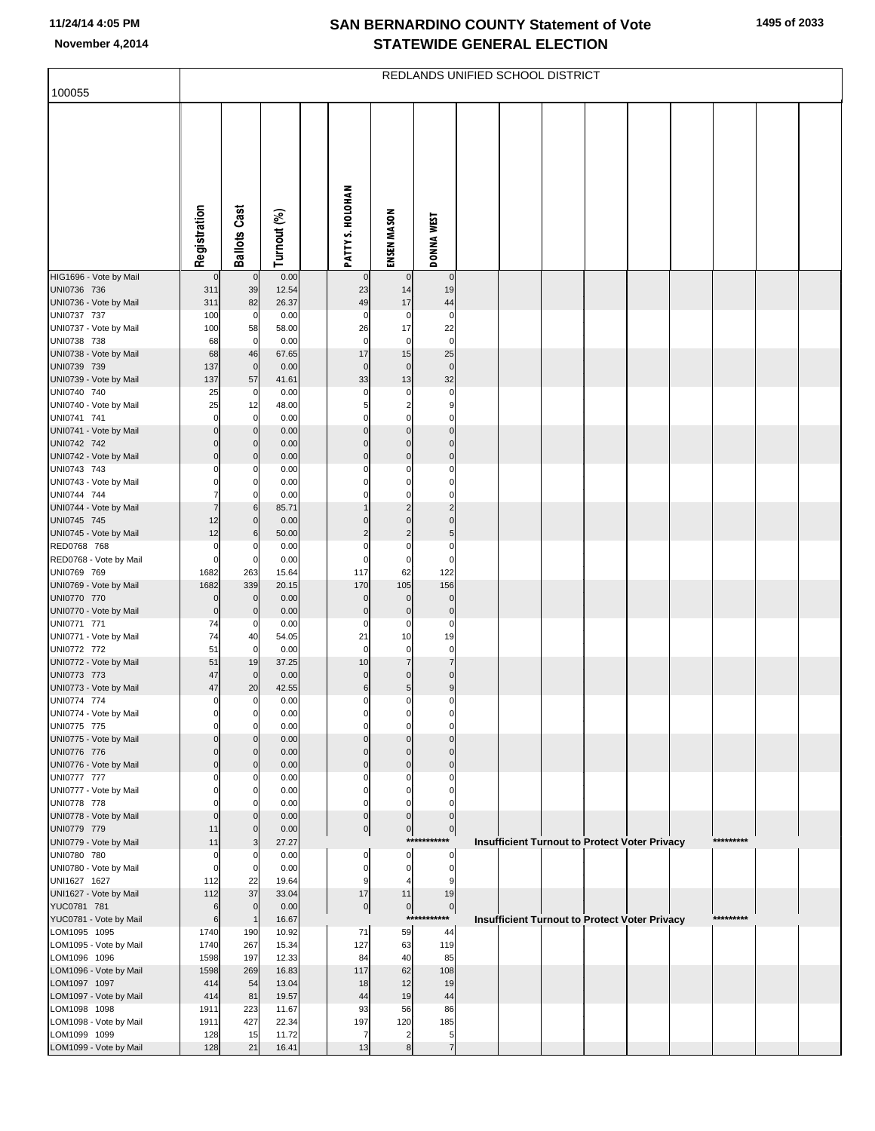| 100055                                 | REDLANDS UNIFIED SCHOOL DISTRICT |                            |                |  |                         |                                |                                     |  |  |  |  |                                               |  |           |  |
|----------------------------------------|----------------------------------|----------------------------|----------------|--|-------------------------|--------------------------------|-------------------------------------|--|--|--|--|-----------------------------------------------|--|-----------|--|
|                                        |                                  |                            |                |  |                         |                                |                                     |  |  |  |  |                                               |  |           |  |
|                                        |                                  |                            |                |  |                         |                                |                                     |  |  |  |  |                                               |  |           |  |
|                                        |                                  |                            |                |  |                         |                                |                                     |  |  |  |  |                                               |  |           |  |
|                                        |                                  |                            |                |  |                         |                                |                                     |  |  |  |  |                                               |  |           |  |
|                                        |                                  |                            |                |  |                         |                                |                                     |  |  |  |  |                                               |  |           |  |
|                                        |                                  |                            |                |  |                         |                                |                                     |  |  |  |  |                                               |  |           |  |
|                                        |                                  |                            |                |  |                         |                                |                                     |  |  |  |  |                                               |  |           |  |
|                                        |                                  |                            |                |  |                         |                                |                                     |  |  |  |  |                                               |  |           |  |
|                                        | Registration                     | <b>Ballots Cast</b>        | Turnout (%)    |  | PATTY S. HOLOHAN        | ENSEN MASON                    | <b>DONNA WEST</b>                   |  |  |  |  |                                               |  |           |  |
| HIG1696 - Vote by Mail                 | $\mathbf 0$                      | $\overline{0}$             | 0.00           |  | $\mathbf 0$             | $\mathbf 0$                    | $\mathbf 0$                         |  |  |  |  |                                               |  |           |  |
| UNI0736 736<br>UNI0736 - Vote by Mail  | 311<br>311                       | 39<br>82                   | 12.54<br>26.37 |  | 23<br>49                | 14<br>17                       | 19<br>44                            |  |  |  |  |                                               |  |           |  |
| UNI0737 737                            | 100                              | $\overline{0}$             | 0.00           |  | 0                       | 0                              | 0                                   |  |  |  |  |                                               |  |           |  |
| UNI0737 - Vote by Mail                 | 100                              | 58                         | 58.00          |  | 26                      | 17                             | 22                                  |  |  |  |  |                                               |  |           |  |
| UNI0738 738<br>UNI0738 - Vote by Mail  | 68<br>68                         | $\overline{0}$<br>46       | 0.00<br>67.65  |  | $\mathbf 0$<br>17       | $\mathbf 0$<br>15              | $\mathbf 0$<br>25                   |  |  |  |  |                                               |  |           |  |
| UNI0739 739                            | 137                              | $\overline{0}$             | 0.00           |  | $\mathbf 0$             | $\mathbf 0$                    | $\mathbf 0$                         |  |  |  |  |                                               |  |           |  |
| UNI0739 - Vote by Mail                 | 137                              | 57                         | 41.61          |  | 33                      | 13                             | 32                                  |  |  |  |  |                                               |  |           |  |
| UNI0740 740<br>UNI0740 - Vote by Mail  | 25<br>25                         | $\overline{0}$<br>12       | 0.00<br>48.00  |  | $\Omega$<br>5           | 0<br>$\overline{\mathbf{c}}$   | 0<br>9                              |  |  |  |  |                                               |  |           |  |
| UNI0741 741                            | $\mathbf 0$                      | $\overline{0}$             | 0.00           |  | $\Omega$                | $\mathbf 0$                    | $\mathbf 0$                         |  |  |  |  |                                               |  |           |  |
| UNI0741 - Vote by Mail                 | $\Omega$                         | $\mathbf 0$                | 0.00           |  | $\Omega$                | $\mathbf 0$                    | $\Omega$                            |  |  |  |  |                                               |  |           |  |
| UNI0742 742<br>UNI0742 - Vote by Mail  | $\Omega$<br>$\Omega$             | $\mathbf 0$<br>$\mathbf 0$ | 0.00<br>0.00   |  | $\Omega$<br>$\Omega$    | $\Omega$<br>$\mathbf 0$        | $\mathbf 0$<br>$\mathbf 0$          |  |  |  |  |                                               |  |           |  |
| UNI0743 743                            | $\Omega$                         | 0                          | 0.00           |  | $\Omega$                | $\Omega$                       | $\Omega$                            |  |  |  |  |                                               |  |           |  |
| UNI0743 - Vote by Mail                 |                                  | 0                          | 0.00           |  |                         | $\Omega$                       | $\Omega$                            |  |  |  |  |                                               |  |           |  |
| UNI0744 744<br>UNI0744 - Vote by Mail  |                                  | $\Omega$<br>6              | 0.00<br>85.71  |  | $\Omega$                | $\Omega$<br>$\overline{2}$     | $\Omega$<br>$\overline{\mathbf{c}}$ |  |  |  |  |                                               |  |           |  |
| UNI0745 745                            | 12                               | $\mathbf 0$                | 0.00           |  | $\Omega$                | $\Omega$                       | $\Omega$                            |  |  |  |  |                                               |  |           |  |
| UNI0745 - Vote by Mail                 | 12                               | 6                          | 50.00          |  | $\overline{2}$          | $\overline{\mathbf{c}}$        | $\overline{5}$                      |  |  |  |  |                                               |  |           |  |
| RED0768 768<br>RED0768 - Vote by Mail  | $\Omega$<br>$\mathbf 0$          | 0<br>$\mathbf 0$           | 0.00<br>0.00   |  | $\Omega$<br>$\mathbf 0$ | $\mathbf 0$<br>$\mathbf 0$     | $\mathbf 0$<br>$\mathbf 0$          |  |  |  |  |                                               |  |           |  |
| UNI0769 769                            | 1682                             | 263                        | 15.64          |  | 117                     | 62                             | 122                                 |  |  |  |  |                                               |  |           |  |
| UNI0769 - Vote by Mail<br>UNI0770 770  | 1682<br>$\mathbf 0$              | 339<br>$\overline{0}$      | 20.15<br>0.00  |  | 170<br>$\mathbf 0$      | 105<br>$\pmb{0}$               | 156<br>$\pmb{0}$                    |  |  |  |  |                                               |  |           |  |
| UNI0770 - Vote by Mail                 | $\mathbf 0$                      | $\mathbf 0$                | 0.00           |  | $\pmb{0}$               | $\mathbf 0$                    | $\mathbf 0$                         |  |  |  |  |                                               |  |           |  |
| UNI0771 771                            | 74                               | $\overline{0}$             | 0.00           |  | $\mathbf 0$             | 0                              | $\mathbf 0$                         |  |  |  |  |                                               |  |           |  |
| UNI0771 - Vote by Mail<br>UNI0772 772  | 74<br>51                         | 40<br>$\overline{0}$       | 54.05<br>0.00  |  | 21<br>$\mathbf 0$       | 10<br>$\mathbf 0$              | 19<br>$\mathbf 0$                   |  |  |  |  |                                               |  |           |  |
| UNI0772 - Vote by Mail                 | 51                               | 19                         | 37.25          |  | 10                      | $\overline{7}$                 | $\overline{7}$                      |  |  |  |  |                                               |  |           |  |
| UNI0773 773                            | 47                               | $\overline{0}$             | 0.00           |  | $\mathbf{0}$            | $\Omega$                       | $\mathbf 0$                         |  |  |  |  |                                               |  |           |  |
| UNI0773 - Vote by Mail<br>UNI0774 774  | 47<br>0                          | 20<br>$\mathbf 0$          | 42.55<br>0.00  |  | 6<br>0                  | 5 <sub>5</sub><br>0            | 9<br>0                              |  |  |  |  |                                               |  |           |  |
| UNI0774 - Vote by Mail                 |                                  |                            | 0.00           |  |                         |                                |                                     |  |  |  |  |                                               |  |           |  |
| UNI0775 775<br>UNI0775 - Vote by Mail  | $\Omega$                         | $\mathbf 0$<br>$\Omega$    | 0.00<br>0.00   |  | $\Omega$<br>$\Omega$    | $\mathbf 0$<br>$\Omega$        | $\mathbf 0$<br>$\Omega$             |  |  |  |  |                                               |  |           |  |
| UNI0776 776                            |                                  | $\Omega$                   | 0.00           |  |                         | $\Omega$                       | $\Omega$                            |  |  |  |  |                                               |  |           |  |
| UNI0776 - Vote by Mail                 | $\Omega$                         | $\mathbf 0$                | 0.00           |  | $\Omega$                | $\pmb{0}$                      | $\Omega$                            |  |  |  |  |                                               |  |           |  |
| UNI0777 777<br>UNI0777 - Vote by Mail  | O                                | 0<br>0                     | 0.00<br>0.00   |  | 0<br>$\Omega$           | $\Omega$<br>$\Omega$           | $\Omega$<br>$\Omega$                |  |  |  |  |                                               |  |           |  |
| UNI0778 778                            |                                  | 0                          | 0.00           |  | $\Omega$                | $\Omega$                       | $\Omega$                            |  |  |  |  |                                               |  |           |  |
| UNI0778 - Vote by Mail                 | $\Omega$                         | $\Omega$                   | 0.00           |  | $\mathbf{0}$            | $\mathbf{0}$                   | $\mathbf{0}$                        |  |  |  |  |                                               |  |           |  |
| UNI0779 779<br>UNI0779 - Vote by Mail  | 11<br>11                         | $\mathbf 0$<br>3           | 0.00<br>27.27  |  | $\overline{0}$          | $\overline{0}$                 | $\overline{0}$<br>***********       |  |  |  |  | Insufficient Turnout to Protect Voter Privacy |  | ********* |  |
| UNI0780 780                            | $\Omega$                         | 0                          | 0.00           |  | 0                       | 0                              | 0                                   |  |  |  |  |                                               |  |           |  |
| UNI0780 - Vote by Mail                 | $\mathbf 0$                      | $\mathbf 0$                | 0.00           |  | $\Omega$                | $\mathbf 0$                    | 0                                   |  |  |  |  |                                               |  |           |  |
| UNI1627 1627<br>UNI1627 - Vote by Mail | 112<br>112                       | 22<br>37                   | 19.64<br>33.04 |  | 9<br>17                 | 11                             | 9<br>19                             |  |  |  |  |                                               |  |           |  |
| YUC0781 781                            | 6                                | $\mathbf{0}$               | 0.00           |  | $\overline{0}$          | $\overline{0}$                 | $\overline{0}$                      |  |  |  |  |                                               |  |           |  |
| YUC0781 - Vote by Mail<br>LOM1095 1095 | 6<br>1740                        | $\overline{1}$<br>190      | 16.67<br>10.92 |  | 71                      | $***$<br>59                    | *******<br>44                       |  |  |  |  | Insufficient Turnout to Protect Voter Privacy |  | ********* |  |
| LOM1095 - Vote by Mail                 | 1740                             | 267                        | 15.34          |  | 127                     | 63                             | 119                                 |  |  |  |  |                                               |  |           |  |
| LOM1096 1096                           | 1598                             | 197                        | 12.33          |  | 84                      | 40                             | 85                                  |  |  |  |  |                                               |  |           |  |
| LOM1096 - Vote by Mail<br>LOM1097 1097 | 1598<br>414                      | 269<br>54                  | 16.83<br>13.04 |  | 117<br>18               | 62<br>12                       | 108<br>19                           |  |  |  |  |                                               |  |           |  |
| LOM1097 - Vote by Mail                 | 414                              | 81                         | 19.57          |  | 44                      | 19                             | 44                                  |  |  |  |  |                                               |  |           |  |
| LOM1098 1098                           | 1911                             | 223                        | 11.67          |  | 93                      | 56                             | 86                                  |  |  |  |  |                                               |  |           |  |
| LOM1098 - Vote by Mail<br>LOM1099 1099 | 1911<br>128                      | 427<br>15                  | 22.34<br>11.72 |  | 197<br>7                | 120<br>$\overline{\mathbf{c}}$ | 185<br>5                            |  |  |  |  |                                               |  |           |  |
| LOM1099 - Vote by Mail                 | 128                              | 21                         | 16.41          |  | 13                      | 8                              | $\overline{7}$                      |  |  |  |  |                                               |  |           |  |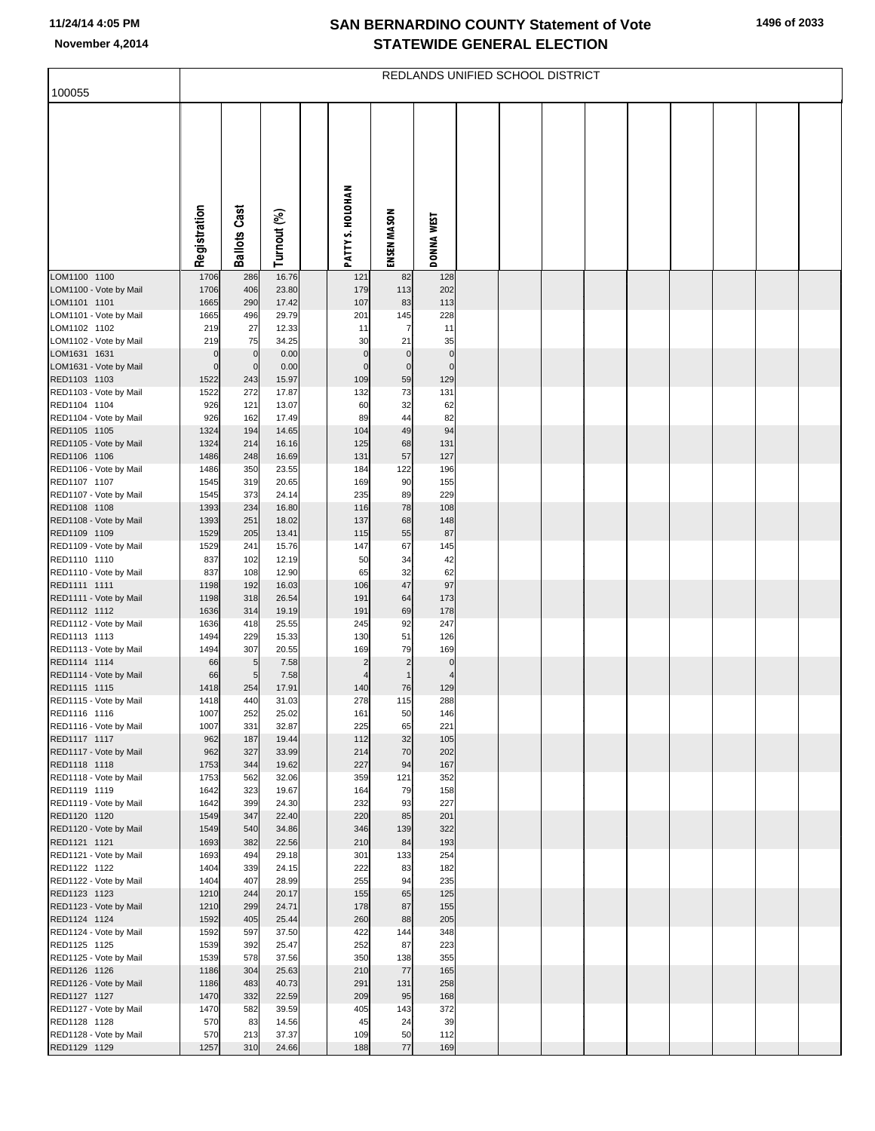| 100055                                 | REDLANDS UNIFIED SCHOOL DISTRICT |                             |                |  |                             |                          |                               |  |  |  |  |  |  |  |  |
|----------------------------------------|----------------------------------|-----------------------------|----------------|--|-----------------------------|--------------------------|-------------------------------|--|--|--|--|--|--|--|--|
|                                        |                                  |                             |                |  |                             |                          |                               |  |  |  |  |  |  |  |  |
|                                        | Registration                     | <b>Ballots Cast</b>         |                |  | PATTY S. HOLOHAN            |                          |                               |  |  |  |  |  |  |  |  |
|                                        |                                  |                             | Turnout (%)    |  |                             | ENSEN MASON              | <b>DONNA WEST</b>             |  |  |  |  |  |  |  |  |
| LOM1100 1100<br>LOM1100 - Vote by Mail | 1706<br>1706                     | 286<br>406                  | 16.76<br>23.80 |  | 121<br>179                  | 82<br>113                | 128<br>202                    |  |  |  |  |  |  |  |  |
| LOM1101 1101                           | 1665                             | 290                         | 17.42          |  | 107                         | 83                       | 113                           |  |  |  |  |  |  |  |  |
| LOM1101 - Vote by Mail<br>LOM1102 1102 | 1665<br>219                      | 496<br>27                   | 29.79<br>12.33 |  | 201<br>11                   | 145<br>$\overline{7}$    | 228<br>11                     |  |  |  |  |  |  |  |  |
| LOM1102 - Vote by Mail                 | 219                              | 75                          | 34.25          |  | 30                          | 21                       | 35                            |  |  |  |  |  |  |  |  |
| LOM1631 1631<br>LOM1631 - Vote by Mail | $\mathbf 0$<br>$\mathbf 0$       | $\mathbf 0$<br>$\mathbf{0}$ | 0.00<br>0.00   |  | $\mathbf 0$<br>$\mathbf{0}$ | $\pmb{0}$<br>$\mathbf 0$ | $\pmb{0}$<br>$\mathbf 0$      |  |  |  |  |  |  |  |  |
| RED1103 1103                           | 1522                             | 243                         | 15.97          |  | 109                         | 59                       | 129                           |  |  |  |  |  |  |  |  |
| RED1103 - Vote by Mail<br>RED1104 1104 | 1522<br>926                      | 272<br>121                  | 17.87<br>13.07 |  | 132<br>60                   | 73<br>32                 | 131<br>62                     |  |  |  |  |  |  |  |  |
| RED1104 - Vote by Mail                 | 926                              | 162                         | 17.49          |  | 89                          | 44                       | 82                            |  |  |  |  |  |  |  |  |
| RED1105 1105<br>RED1105 - Vote by Mail | 1324<br>1324                     | 194<br>214                  | 14.65<br>16.16 |  | 104<br>125                  | 49<br>68                 | 94<br>131                     |  |  |  |  |  |  |  |  |
| RED1106 1106                           | 1486                             | 248                         | 16.69          |  | 131                         | 57                       | 127                           |  |  |  |  |  |  |  |  |
| RED1106 - Vote by Mail                 | 1486                             | 350                         | 23.55          |  | 184                         | 122                      | 196                           |  |  |  |  |  |  |  |  |
| RED1107 1107<br>RED1107 - Vote by Mail | 1545<br>1545                     | 319<br>373                  | 20.65<br>24.14 |  | 169<br>235                  | 90<br>89                 | 155<br>229                    |  |  |  |  |  |  |  |  |
| RED1108 1108                           | 1393                             | 234                         | 16.80          |  | 116                         | 78                       | 108                           |  |  |  |  |  |  |  |  |
| RED1108 - Vote by Mail<br>RED1109 1109 | 1393<br>1529                     | 251<br>205                  | 18.02<br>13.41 |  | 137<br>115                  | 68<br>55                 | 148<br>87                     |  |  |  |  |  |  |  |  |
| RED1109 - Vote by Mail                 | 1529                             | 241                         | 15.76          |  | 147                         | 67                       | 145                           |  |  |  |  |  |  |  |  |
| RED1110 1110                           | 837                              | 102                         | 12.19          |  | 50                          | 34                       | 42                            |  |  |  |  |  |  |  |  |
| RED1110 - Vote by Mail<br>RED1111 1111 | 837<br>1198                      | 108<br>192                  | 12.90<br>16.03 |  | 65<br>106                   | 32<br>47                 | 62<br>97                      |  |  |  |  |  |  |  |  |
| RED1111 - Vote by Mail                 | 1198                             | 318                         | 26.54          |  | 191                         | 64                       | 173                           |  |  |  |  |  |  |  |  |
| RED1112 1112<br>RED1112 - Vote by Mail | 1636<br>1636                     | 314<br>418                  | 19.19<br>25.55 |  | 191<br>245                  | 69<br>92                 | 178<br>247                    |  |  |  |  |  |  |  |  |
| RED1113 1113                           | 1494                             | 229                         | 15.33          |  | 130                         | 51                       | 126                           |  |  |  |  |  |  |  |  |
| RED1113 - Vote by Mail<br>RED1114 1114 | 1494<br>66                       | 307<br>$5\phantom{.0}$      | 20.55<br>7.58  |  | 169<br>$\overline{2}$       | 79<br>$\overline{c}$     | 169                           |  |  |  |  |  |  |  |  |
| RED1114 - Vote by Mail                 | 66                               | 5                           | 7.58           |  | $\overline{4}$              | $\mathbf{1}$             | $\mathbf 0$<br>$\overline{4}$ |  |  |  |  |  |  |  |  |
| RED1115 1115                           | 1418                             | 254                         | 17.91          |  | 140                         | 76                       | 129                           |  |  |  |  |  |  |  |  |
| RED1115 - Vote by Mail<br>RED1116 1116 | 1418<br>1007                     | 440<br>252                  | 31.03<br>25.02 |  | 278<br>161                  | 115<br>50                | 288<br>146                    |  |  |  |  |  |  |  |  |
| RED1116 - Vote by Mail                 | 1007                             | 331                         | 32.87          |  | 225                         | 65                       | 221                           |  |  |  |  |  |  |  |  |
| RED1117 1117<br>RED1117 - Vote by Mail | 962<br>962                       | 187<br>327                  | 19.44<br>33.99 |  | 112<br>214                  | 32<br>70                 | 105<br>202                    |  |  |  |  |  |  |  |  |
| RED1118 1118                           | 1753                             | 344                         | 19.62          |  | 227                         | 94                       | 167                           |  |  |  |  |  |  |  |  |
| RED1118 - Vote by Mail                 | 1753                             | 562                         | 32.06          |  | 359                         | 121                      | 352                           |  |  |  |  |  |  |  |  |
| RED1119 1119<br>RED1119 - Vote by Mail | 1642<br>1642                     | 323<br>399                  | 19.67<br>24.30 |  | 164<br>232                  | 79<br>93                 | 158<br>227                    |  |  |  |  |  |  |  |  |
| RED1120 1120                           | 1549                             | 347                         | 22.40          |  | 220                         | 85                       | 201                           |  |  |  |  |  |  |  |  |
| RED1120 - Vote by Mail<br>RED1121 1121 | 1549<br>1693                     | 540<br>382                  | 34.86<br>22.56 |  | 346<br>210                  | 139<br>84                | 322<br>193                    |  |  |  |  |  |  |  |  |
| RED1121 - Vote by Mail                 | 1693                             | 494                         | 29.18          |  | 301                         | 133                      | 254                           |  |  |  |  |  |  |  |  |
| RED1122 1122<br>RED1122 - Vote by Mail | 1404<br>1404                     | 339<br>407                  | 24.15<br>28.99 |  | 222<br>255                  | 83<br>94                 | 182<br>235                    |  |  |  |  |  |  |  |  |
| RED1123 1123                           | 1210                             | 244                         | 20.17          |  | 155                         | 65                       | 125                           |  |  |  |  |  |  |  |  |
| RED1123 - Vote by Mail                 | 1210                             | 299                         | 24.71          |  | 178                         | 87                       | 155                           |  |  |  |  |  |  |  |  |
| RED1124 1124<br>RED1124 - Vote by Mail | 1592<br>1592                     | 405<br>597                  | 25.44<br>37.50 |  | 260<br>422                  | 88<br>144                | 205<br>348                    |  |  |  |  |  |  |  |  |
| RED1125 1125                           | 1539                             | 392                         | 25.47          |  | 252                         | 87                       | 223                           |  |  |  |  |  |  |  |  |
| RED1125 - Vote by Mail<br>RED1126 1126 | 1539<br>1186                     | 578<br>304                  | 37.56<br>25.63 |  | 350<br>210                  | 138<br>77                | 355<br>165                    |  |  |  |  |  |  |  |  |
| RED1126 - Vote by Mail                 | 1186                             | 483                         | 40.73          |  | 291                         | 131                      | 258                           |  |  |  |  |  |  |  |  |
| RED1127 1127                           | 1470                             | 332                         | 22.59          |  | 209                         | 95                       | 168                           |  |  |  |  |  |  |  |  |
| RED1127 - Vote by Mail<br>RED1128 1128 | 1470<br>570                      | 582<br>83                   | 39.59<br>14.56 |  | 405<br>45                   | 143<br>24                | 372<br>39                     |  |  |  |  |  |  |  |  |
| RED1128 - Vote by Mail                 | 570                              | 213                         | 37.37          |  | 109                         | 50                       | 112                           |  |  |  |  |  |  |  |  |
| RED1129 1129                           | 1257                             | 310                         | 24.66          |  | 188                         | 77                       | 169                           |  |  |  |  |  |  |  |  |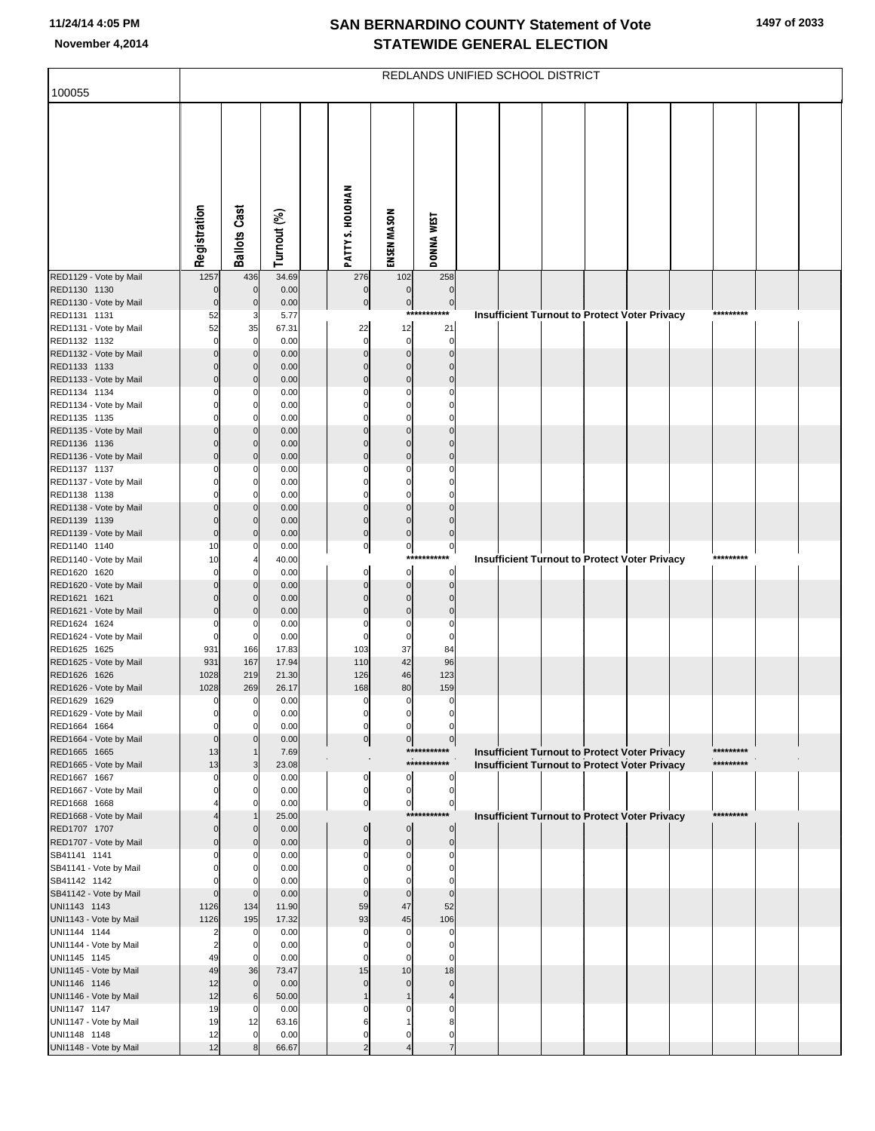| 100055                                 |                      |                      |                |                               |                           | REDLANDS UNIFIED SCHOOL DISTRICT |  |  |                                                      |           |  |
|----------------------------------------|----------------------|----------------------|----------------|-------------------------------|---------------------------|----------------------------------|--|--|------------------------------------------------------|-----------|--|
|                                        |                      |                      |                |                               |                           |                                  |  |  |                                                      |           |  |
|                                        |                      |                      |                |                               |                           |                                  |  |  |                                                      |           |  |
|                                        | Registration         | <b>Ballots Cast</b>  | Turnout (%)    | PATTY S. HOLOHAN              | ENSEN MASON               | <b>DONNA WEST</b>                |  |  |                                                      |           |  |
| RED1129 - Vote by Mail                 | 1257                 | 436                  | 34.69          | 276                           | 102                       | 258                              |  |  |                                                      |           |  |
| RED1130 1130                           | $\mathbf 0$          | $\overline{0}$       | 0.00           | $\pmb{0}$                     | $\pmb{0}$                 | $\mathbf 0$                      |  |  |                                                      |           |  |
| RED1130 - Vote by Mail                 | $\mathbf 0$          | $\mathbf{0}$         | 0.00           | $\pmb{0}$                     | $\pmb{0}$<br>***          | $\overline{0}$<br>*******        |  |  |                                                      | ********* |  |
| RED1131 1131<br>RED1131 - Vote by Mail | 52<br>52             | 3<br>35              | 5.77<br>67.31  | 22                            | 12                        | 21                               |  |  | <b>Insufficient Turnout to Protect Voter Privacy</b> |           |  |
| RED1132 1132                           | $\mathbf 0$          | $\Omega$             | 0.00           | $\mathbf 0$                   | $\mathbf 0$               | $\mathbf 0$                      |  |  |                                                      |           |  |
| RED1132 - Vote by Mail                 | $\mathbf 0$          | $\overline{0}$       | 0.00           | $\Omega$                      | $\Omega$                  | $\mathbf 0$                      |  |  |                                                      |           |  |
| RED1133 1133                           | $\mathbf 0$          | $\overline{0}$       | 0.00           | $\Omega$                      | $\Omega$                  | $\Omega$                         |  |  |                                                      |           |  |
| RED1133 - Vote by Mail<br>RED1134 1134 | $\mathbf 0$          | $\overline{0}$<br>O  | 0.00<br>0.00   | $\Omega$                      | $\Omega$<br>$\mathcal{C}$ | $\Omega$<br>C                    |  |  |                                                      |           |  |
| RED1134 - Vote by Mail                 |                      | $\mathbf{0}$         | 0.00           |                               | $\Omega$                  | O                                |  |  |                                                      |           |  |
| RED1135 1135                           |                      | O                    | 0.00           |                               | $\Omega$                  | $\Omega$                         |  |  |                                                      |           |  |
| RED1135 - Vote by Mail                 | $\mathbf 0$          | $\overline{0}$       | 0.00           | $\Omega$                      | $\Omega$                  | $\Omega$                         |  |  |                                                      |           |  |
| RED1136 1136                           | $\Omega$             | $\overline{0}$       | 0.00           | $\Omega$                      | $\Omega$                  | $\Omega$                         |  |  |                                                      |           |  |
| RED1136 - Vote by Mail<br>RED1137 1137 | $\Omega$             | $\overline{0}$<br>O  | 0.00<br>0.00   | $\Omega$                      | $\Omega$<br>C             | $\Omega$<br>C                    |  |  |                                                      |           |  |
| RED1137 - Vote by Mail                 |                      | $\mathbf{0}$         | 0.00           |                               | $\Omega$                  | O                                |  |  |                                                      |           |  |
| RED1138 1138                           |                      | $\Omega$             | 0.00           | $\Omega$                      | $\Omega$                  | C                                |  |  |                                                      |           |  |
| RED1138 - Vote by Mail                 | $\Omega$             | $\overline{0}$       | 0.00           | $\Omega$                      | $\Omega$                  | $\Omega$                         |  |  |                                                      |           |  |
| RED1139 1139                           | $\Omega$             | $\overline{0}$       | 0.00           | $\mathbf 0$<br>$\overline{0}$ | $\Omega$                  | $\Omega$                         |  |  |                                                      |           |  |
| RED1139 - Vote by Mail<br>RED1140 1140 | $\mathbf 0$<br>10    | $\Omega$<br>O        | 0.00<br>0.00   | $\overline{0}$                | $\mathbf 0$<br>$\pmb{0}$  | $\mathbf 0$<br>$\pmb{0}$         |  |  |                                                      |           |  |
| RED1140 - Vote by Mail                 | 10                   |                      | 40.00          |                               | ***                       | *******                          |  |  | Insufficient Turnout to Protect Voter Privacy        | ********* |  |
| RED1620 1620                           | $\Omega$             | O                    | 0.00           | $\mathbf 0$                   | $\mathbf 0$               | $\mathbf 0$                      |  |  |                                                      |           |  |
| RED1620 - Vote by Mail                 | $\Omega$             | $\mathbf{0}$         | 0.00           | $\Omega$                      | $\mathbf 0$               | $\mathbf 0$                      |  |  |                                                      |           |  |
| RED1621 1621<br>RED1621 - Vote by Mail | $\Omega$<br>$\Omega$ | $\Omega$<br>$\Omega$ | 0.00<br>0.00   | $\Omega$<br>$\Omega$          | $\Omega$<br>$\Omega$      | $\Omega$<br>$\Omega$             |  |  |                                                      |           |  |
| RED1624 1624                           | $\Omega$             | O                    | 0.00           |                               | $\mathsf{C}$              | $\Omega$                         |  |  |                                                      |           |  |
| RED1624 - Vote by Mail                 | $\mathbf 0$          | $\mathbf 0$          | 0.00           |                               | $\mathbf 0$               | $\Omega$                         |  |  |                                                      |           |  |
| RED1625 1625                           | 931                  | 166                  | 17.83          | 103                           | 37                        | 84                               |  |  |                                                      |           |  |
| RED1625 - Vote by Mail<br>RED1626 1626 | 931<br>1028          | 167<br>219           | 17.94<br>21.30 | 110<br>126                    | 42<br>46                  | 96<br>123                        |  |  |                                                      |           |  |
| RED1626 - Vote by Mail                 | 1028                 | 269                  | 26.17          | 168                           | 80                        | 159                              |  |  |                                                      |           |  |
| RED1629 1629                           | 0                    | 0                    | 0.00           | $\mathbf 0$                   | $\mathbf 0$               | $\Omega$                         |  |  |                                                      |           |  |
| RED1629 - Vote by Mail                 |                      |                      | 0.00           |                               |                           |                                  |  |  |                                                      |           |  |
| RED1664 1664                           | 0                    | 0                    | 0.00           | $\mathbf 0$                   | $\Omega$                  | 0                                |  |  |                                                      |           |  |
| RED1664 - Vote by Mail<br>RED1665 1665 | $\mathbf 0$<br>13    |                      | 0.00<br>7.69   | $\overline{0}$                | $\pmb{0}$                 | $\overline{0}$<br>***********    |  |  | Insufficient Turnout to Protect Voter Privacy        | ********* |  |
| RED1665 - Vote by Mail                 | 13                   |                      | 23.08          |                               |                           | ***********                      |  |  | <b>Insufficient Turnout to Protect Voter Privacy</b> | ********* |  |
| RED1667 1667                           | O                    |                      | 0.00           | 0                             | $\mathbf 0$               | 0                                |  |  |                                                      |           |  |
| RED1667 - Vote by Mail                 |                      |                      | 0.00           | $\pmb{0}$                     | $\pmb{0}$                 | $\mathbf 0$                      |  |  |                                                      |           |  |
| RED1668 1668<br>RED1668 - Vote by Mail |                      |                      | 0.00<br>25.00  | $\overline{0}$                | $\pmb{0}$                 | $\mathbf 0$<br>*******           |  |  |                                                      | ********* |  |
| RED1707 1707                           |                      | $\Omega$             | 0.00           | $\mathbf 0$                   | $\mathbf 0$               | $\mathbf 0$                      |  |  | Insufficient Turnout to Protect Voter Privacy        |           |  |
| RED1707 - Vote by Mail                 |                      | $\Omega$             | 0.00           | $\Omega$                      | $\mathbf 0$               | $\mathbf 0$                      |  |  |                                                      |           |  |
| SB41141 1141                           |                      |                      | 0.00           |                               | C                         | C                                |  |  |                                                      |           |  |
| SB41141 - Vote by Mail<br>SB41142 1142 |                      | O                    | 0.00<br>0.00   |                               | C<br>C                    | O<br>C                           |  |  |                                                      |           |  |
| SB41142 - Vote by Mail                 | $\Omega$             | $\Omega$             | 0.00           | $\Omega$                      | $\Omega$                  | $\mathbf 0$                      |  |  |                                                      |           |  |
| UNI1143 1143                           | 1126                 | 134                  | 11.90          | 59                            | 47                        | 52                               |  |  |                                                      |           |  |
| UNI1143 - Vote by Mail                 | 1126                 | 195                  | 17.32          | 93                            | 45                        | 106                              |  |  |                                                      |           |  |
| UNI1144 1144                           | 2                    | $\Omega$             | 0.00           |                               | $\mathsf{C}$              | O                                |  |  |                                                      |           |  |
| UNI1144 - Vote by Mail<br>UNI1145 1145 | 2<br>49              | 0                    | 0.00<br>0.00   |                               | C<br>C                    | n                                |  |  |                                                      |           |  |
| UNI1145 - Vote by Mail                 | 49                   | 36                   | 73.47          | 15                            | 10                        | 18                               |  |  |                                                      |           |  |
| UNI1146 1146                           | 12                   | $\overline{0}$       | 0.00           | $\Omega$                      | $\Omega$                  | $\Omega$                         |  |  |                                                      |           |  |
| UNI1146 - Vote by Mail                 | 12                   | 6                    | 50.00          |                               |                           |                                  |  |  |                                                      |           |  |
| UNI1147 1147                           | 19                   | $\Omega$             | 0.00           |                               |                           |                                  |  |  |                                                      |           |  |
| UNI1147 - Vote by Mail<br>UNI1148 1148 | 19<br>12             | 12                   | 63.16<br>0.00  | $\Omega$                      | $\Omega$                  | 0                                |  |  |                                                      |           |  |
| UNI1148 - Vote by Mail                 | 12                   |                      | 66.67          | $\overline{2}$                | $\overline{4}$            | $\overline{7}$                   |  |  |                                                      |           |  |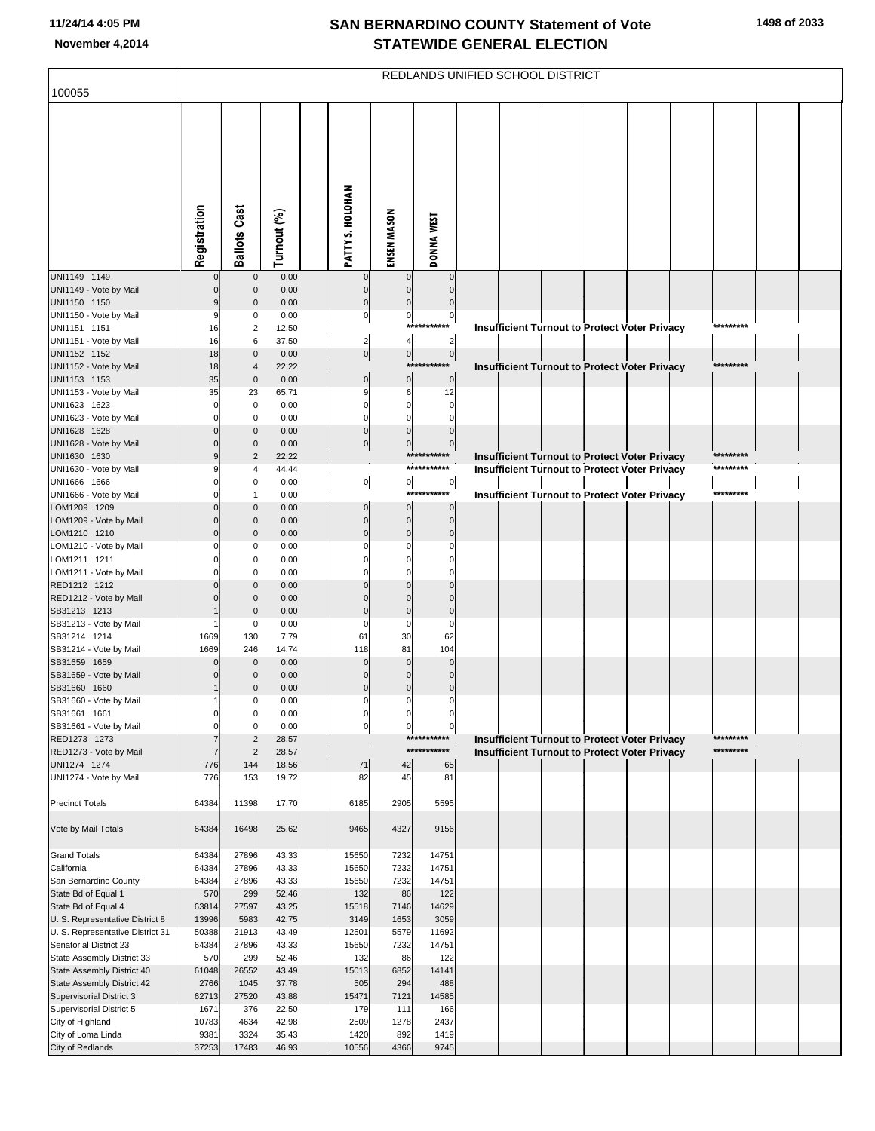| 100055                                                   | REDLANDS UNIFIED SCHOOL DISTRICT |                                |                |                            |                            |                            |  |  |  |  |                                                      |  |                         |  |  |
|----------------------------------------------------------|----------------------------------|--------------------------------|----------------|----------------------------|----------------------------|----------------------------|--|--|--|--|------------------------------------------------------|--|-------------------------|--|--|
|                                                          |                                  |                                |                |                            |                            |                            |  |  |  |  |                                                      |  |                         |  |  |
|                                                          | Registration                     | <b>Ballots Cast</b>            | Turnout (%)    | PATTY S. HOLOHAN           | ENSEN MASON                | DONNA WEST                 |  |  |  |  |                                                      |  |                         |  |  |
| UNI1149 1149<br>UNI1149 - Vote by Mail                   | $\Omega$                         | $\Omega$<br>$\Omega$           | 0.00<br>0.00   | $\mathbf 0$<br>$\mathbf 0$ | $\mathbf 0$<br>$\mathbf 0$ | $\Omega$<br>$\mathbf 0$    |  |  |  |  |                                                      |  |                         |  |  |
| UNI1150 1150                                             | 9                                | $\Omega$                       | 0.00           | $\mathbf 0$                | $\Omega$                   | $\mathbf 0$                |  |  |  |  |                                                      |  |                         |  |  |
| UNI1150 - Vote by Mail<br>UNI1151 1151                   | 9<br>16                          | $\mathbf 0$<br>$\overline{2}$  | 0.00<br>12.50  | $\overline{0}$             | $\mathbf 0$                | $\pmb{0}$<br>***********   |  |  |  |  | Insufficient Turnout to Protect Voter Privacy        |  | *********               |  |  |
| UNI1151 - Vote by Mail                                   | 16                               | 6                              | 37.50          | $\overline{a}$             | $\overline{\mathbf{4}}$    | $\overline{c}$             |  |  |  |  |                                                      |  |                         |  |  |
| UNI1152 1152                                             | 18                               | $\mathbf 0$                    | 0.00           | 0                          | $\overline{0}$             | $\overline{0}$             |  |  |  |  |                                                      |  |                         |  |  |
| UNI1152 - Vote by Mail                                   | 18                               | $\overline{4}$                 | 22.22          |                            |                            | ***********                |  |  |  |  | <b>Insufficient Turnout to Protect Voter Privacy</b> |  | *********               |  |  |
| UNI1153 1153                                             | 35                               | $\mathbf{0}$                   | 0.00           | $\mathbf 0$                | $\mathbf 0$                | $\mathbf 0$                |  |  |  |  |                                                      |  |                         |  |  |
| UNI1153 - Vote by Mail<br>UNI1623 1623                   | 35<br>$\mathbf 0$                | 23<br>$\mathbf 0$              | 65.71<br>0.00  | g<br>$\mathbf 0$           | 6<br>$\mathbf 0$           | 12<br>$\mathbf 0$          |  |  |  |  |                                                      |  |                         |  |  |
| UNI1623 - Vote by Mail                                   | $\Omega$                         | $\Omega$                       | 0.00           | $\Omega$                   | $\Omega$                   | $\Omega$                   |  |  |  |  |                                                      |  |                         |  |  |
| UNI1628 1628                                             | $\Omega$                         | $\mathbf 0$                    | 0.00           | $\mathbf 0$                | $\mathbf 0$                | $\mathbf 0$                |  |  |  |  |                                                      |  |                         |  |  |
| UNI1628 - Vote by Mail                                   | $\Omega$                         | $\mathbf 0$                    | 0.00           | $\overline{0}$             | $\mathbf 0$                | $\overline{0}$             |  |  |  |  |                                                      |  |                         |  |  |
| UNI1630 1630                                             | 9                                | $\overline{2}$                 | 22.22          |                            |                            | ***********<br>*********** |  |  |  |  | <b>Insufficient Turnout to Protect Voter Privacy</b> |  | *********<br>*********  |  |  |
| UNI1630 - Vote by Mail<br>UNI1666 1666                   | 9<br>$\Omega$                    | $\mathbf 0$                    | 44.44<br>0.00  | $\overline{0}$             | $\overline{0}$             | $\circ$                    |  |  |  |  | <b>Insufficient Turnout to Protect Voter Privacy</b> |  |                         |  |  |
| UNI1666 - Vote by Mail                                   | $\Omega$                         |                                | 0.00           |                            |                            | ***********                |  |  |  |  | <b>Insufficient Turnout to Protect Voter Privacy</b> |  | *********               |  |  |
| LOM1209 1209                                             | $\Omega$                         | $\Omega$                       | 0.00           | $\mathbf 0$                | $\mathbf{0}$               | $\mathbf 0$                |  |  |  |  |                                                      |  |                         |  |  |
| LOM1209 - Vote by Mail                                   | $\Omega$                         | $\Omega$                       | 0.00           | $\mathbf 0$                | $\mathbf 0$                | $\mathbf 0$                |  |  |  |  |                                                      |  |                         |  |  |
| LOM1210 1210                                             | $\Omega$                         | $\mathbf 0$<br>$\Omega$        | 0.00           | $\mathbf{0}$               | $\mathbf 0$<br>$\Omega$    | $\mathbf 0$                |  |  |  |  |                                                      |  |                         |  |  |
| LOM1210 - Vote by Mail<br>LOM1211 1211                   | $\Omega$                         | $\mathbf 0$                    | 0.00<br>0.00   |                            | $\Omega$                   | 0                          |  |  |  |  |                                                      |  |                         |  |  |
| LOM1211 - Vote by Mail                                   |                                  | $\mathcal{C}$                  | 0.00           |                            |                            |                            |  |  |  |  |                                                      |  |                         |  |  |
| RED1212 1212                                             |                                  | $\mathbf 0$                    | 0.00           | $\Omega$                   | $\Omega$                   | $\Omega$                   |  |  |  |  |                                                      |  |                         |  |  |
| RED1212 - Vote by Mail                                   |                                  | $\Omega$                       | 0.00           |                            |                            | $\Omega$                   |  |  |  |  |                                                      |  |                         |  |  |
| SB31213 1213<br>SB31213 - Vote by Mail                   |                                  | $\mathcal{C}$<br>$\mathcal{C}$ | 0.00<br>0.00   | $\Omega$                   | $\mathbf 0$<br>$\mathbf 0$ | $\mathbf 0$<br>$\Omega$    |  |  |  |  |                                                      |  |                         |  |  |
| SB31214 1214                                             | 1669                             | 130                            | 7.79           | 61                         | 30                         | 62                         |  |  |  |  |                                                      |  |                         |  |  |
| SB31214 - Vote by Mail                                   | 1669                             | 246                            | 14.74          | 118                        | 81                         | 104                        |  |  |  |  |                                                      |  |                         |  |  |
| SB31659 1659                                             | $\Omega$                         | $\mathbf 0$                    | 0.00           | $\Omega$                   | $\Omega$                   | $\mathbf 0$                |  |  |  |  |                                                      |  |                         |  |  |
| SB31659 - Vote by Mail<br>SB31660 1660                   |                                  | $\mathbf 0$<br>$\mathcal{C}$   | 0.00<br>0.00   | $\Omega$<br>$\Omega$       | $\Omega$<br>$\Omega$       | $\Omega$<br>$\mathbf 0$    |  |  |  |  |                                                      |  |                         |  |  |
| SB31660 - Vote by Mail                                   |                                  | C                              | 0.00           | 0                          | $\Omega$                   | 0                          |  |  |  |  |                                                      |  |                         |  |  |
| SB31661 1661                                             | $\Omega$                         | 0                              | 0.00           | 0                          | 0                          | 0                          |  |  |  |  |                                                      |  |                         |  |  |
| SB31661 - Vote by Mail                                   | $\Omega$                         | $\mathsf{C}$                   | 0.00           | $\overline{0}$             | $\mathbf 0$                | $\overline{0}$             |  |  |  |  |                                                      |  |                         |  |  |
| RED1273 1273                                             | $\overline{7}$                   | 2                              | 28.57          |                            |                            | ***********<br>*********** |  |  |  |  | <b>Insufficient Turnout to Protect Voter Privacy</b> |  | **********<br>********* |  |  |
| RED1273 - Vote by Mail<br>UNI1274 1274                   | $\overline{7}$<br>776            | $\overline{2}$<br>144          | 28.57<br>18.56 | 71                         | 42                         | 65                         |  |  |  |  | Insufficient Turnout to Protect Voter Privacy        |  |                         |  |  |
| UNI1274 - Vote by Mail                                   | 776                              | 153                            | 19.72          | 82                         | 45                         | 81                         |  |  |  |  |                                                      |  |                         |  |  |
| <b>Precinct Totals</b>                                   | 64384                            | 11398                          | 17.70          | 6185                       | 2905                       | 5595                       |  |  |  |  |                                                      |  |                         |  |  |
|                                                          |                                  |                                |                |                            |                            |                            |  |  |  |  |                                                      |  |                         |  |  |
| Vote by Mail Totals                                      | 64384                            | 16498                          | 25.62          | 9465                       | 4327                       | 9156                       |  |  |  |  |                                                      |  |                         |  |  |
| <b>Grand Totals</b>                                      | 64384                            | 27896                          | 43.33          | 15650                      | 7232                       | 14751                      |  |  |  |  |                                                      |  |                         |  |  |
| California                                               | 64384                            | 27896                          | 43.33          | 15650                      | 7232                       | 14751                      |  |  |  |  |                                                      |  |                         |  |  |
| San Bernardino County                                    | 64384<br>570                     | 27896<br>299                   | 43.33<br>52.46 | 15650<br>132               | 7232<br>86                 | 14751<br>122               |  |  |  |  |                                                      |  |                         |  |  |
| State Bd of Equal 1<br>State Bd of Equal 4               | 63814                            | 27597                          | 43.25          | 15518                      | 7146                       | 14629                      |  |  |  |  |                                                      |  |                         |  |  |
| U. S. Representative District 8                          | 13996                            | 5983                           | 42.75          | 3149                       | 1653                       | 3059                       |  |  |  |  |                                                      |  |                         |  |  |
| U. S. Representative District 31                         | 50388                            | 21913                          | 43.49          | 12501                      | 5579                       | 11692                      |  |  |  |  |                                                      |  |                         |  |  |
| Senatorial District 23                                   | 64384                            | 27896                          | 43.33          | 15650                      | 7232                       | 14751                      |  |  |  |  |                                                      |  |                         |  |  |
| State Assembly District 33<br>State Assembly District 40 | 570<br>61048                     | 299<br>26552                   | 52.46<br>43.49 | 132<br>15013               | 86<br>6852                 | 122<br>14141               |  |  |  |  |                                                      |  |                         |  |  |
| State Assembly District 42                               | 2766                             | 1045                           | 37.78          | 505                        | 294                        | 488                        |  |  |  |  |                                                      |  |                         |  |  |
| Supervisorial District 3                                 | 62713                            | 27520                          | 43.88          | 15471                      | 7121                       | 14585                      |  |  |  |  |                                                      |  |                         |  |  |
| Supervisorial District 5                                 | 1671                             | 376                            | 22.50          | 179                        | 111                        | 166                        |  |  |  |  |                                                      |  |                         |  |  |
| City of Highland                                         | 10783                            | 4634                           | 42.98          | 2509                       | 1278                       | 2437                       |  |  |  |  |                                                      |  |                         |  |  |
| City of Loma Linda<br>City of Redlands                   | 9381<br>37253                    | 3324<br>17483                  | 35.43<br>46.93 | 1420<br>10556              | 892<br>4366                | 1419<br>9745               |  |  |  |  |                                                      |  |                         |  |  |
|                                                          |                                  |                                |                |                            |                            |                            |  |  |  |  |                                                      |  |                         |  |  |